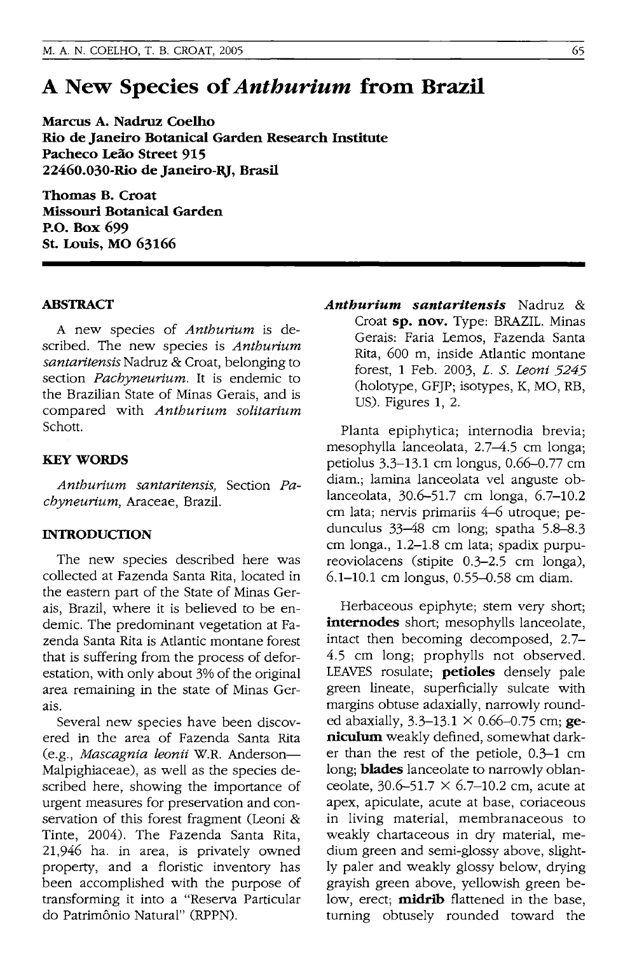# **A New Species of** *Anthurium* **from Brazil**

**Marcus A. Nadruz Coelho Rio de Janeiro Botanical Garden Research Institute Pacheco Leao Street 915 22460.030-Rio de Janeiro-RJ, Brasil** 

**Thomas B. Croat Missouri Botanical Garden P.O. Box 699 St. Louis, MO 63166** 

#### **ABSTRACT**

A new species of *Anthurium* is described. The new species is *Anthurium santaritensis* Nadruz & Croat, belonging to section *Pachyneurium.* It is endemic to the Brazilian State of Minas Gerais, and is compared with *Anthurium solitarium*  Schott.

#### **KEY WORDS**

*Anthurium santaritensis,* Section *Pachyneurium,* Araceae, Brazil.

### **INTRODUCTION**

The new species described here was collected at Fazenda Santa Rita, located in the eastern part of the State of Minas Gerais, Brazil, where it is believed to be endemic. The predominant vegetation at Fazenda Santa Rita is Atlantic montane forest that is suffering from the process of deforestation, with only about 3% of the original area remaining in the state of Minas Gerais.

Several new species have been discovered in the area of Fazenda Santa Rita (e.g., *Mascagnia leonii* W.R. Anderson-Malpighiaceae), as well as the species described here, showing the importance of urgent measures for preservation and conservation of this forest fragment (Leoni & Tinte, 2004). The Fazenda Santa Rita, 21,946 ha. in area, is privately owned property, and a floristic inventory has been accomplished with the purpose of transforming it into a "Reserva Particular do Patrimônio Natural" (RPPN).

*Anthurium santaritensis* Nadruz & Croat **sp. nov.** Type: BRAZIL. Minas Gerais: Faria Lemos, Fazenda Santa Rita, 600 m, inside Atlantic montane forest, 1 Feb. 2003, *L.* S. *Leoni 5245*  (holotype, GFJP; isotypes, K, MO, RB, US). Figures 1, 2.

Planta epiphytica; internodia brevia; mesophylla lanceolata, 2.7-4.5 cm longa; petiolus 3.3-13.1 cm longus, 0.66-0.77 cm diam.; lamina lanceolata vel anguste oblanceolata, 30.6-51.7 cm longa, 6.7-10.2 cm lata; nervis primariis 4-6 utroque; pedunculus 33-48 cm long; spatha 5.8-8.3 cm longa., 1.2-1.8 cm lata; spadix purpureoviolacens (stipite 0.3-2.5 cm longa), 6.1-10.1 cm longus, 0.55-0.58 cm diam.

Herbaceous epiphyte; stem very short; **internodes** short; mesophylls lanceolate, intact then becoming decomposed, 2.7- 4.5 cm long; prophylls not observed. LEAVES rosulate; **petioles** densely pale green lineate, superficially sulcate with margins obtuse adaxially, narrowly rounded abaxially, 3.3-13.1 X 0.66-0.75 cm; **geniculum** weakly defined, somewhat darker than the rest of the petiole, 0.3-1 cm long; **blades** lanceolate to narrowly oblanceolate,  $30.6 - 51.7 \times 6.7 - 10.2$  cm, acute at apex, apiculate, acute at base, coriaceous in living material, membranaceous to weakly chartaceous in dry material, medium green and semi-glossy above, slightly paler and weakly glossy below, drying grayish green above, yellowish green below, erect; **midrib** flattened in the base, turning obtusely rounded toward the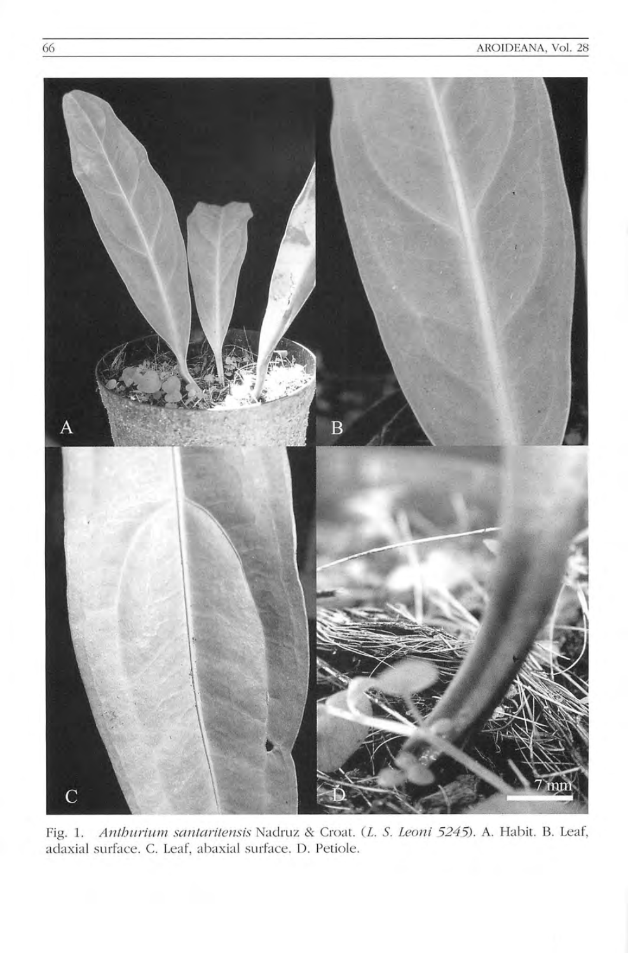

Fig. 1. Anthurium santaritensis Nadruz & Croat. (L. S. Leoni 5245). A. Habit. B. Leaf, adaxial surface. C. Leaf, abaxial surface. D. Petiole.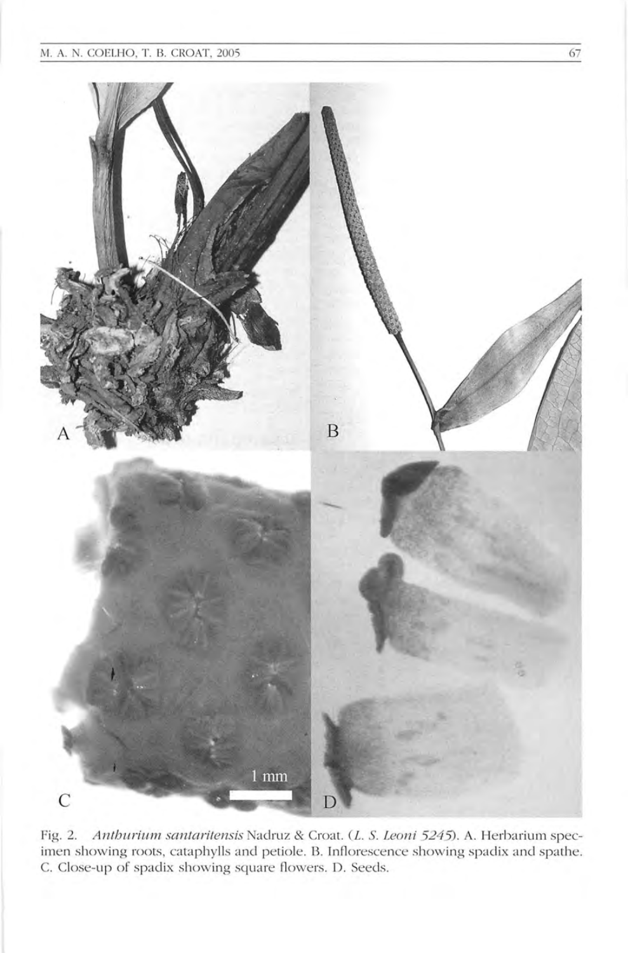## M. A. N. COELHO, T. B. CROAT, 2005 67



Fig. 2. Anthurium santaritensis Nadruz & Croat. (L. S. Leoni 5245). A. Herbarium specimen showing roots, cataphylls and petiole. B. Inflorescence showing spadix and spathe. C. Close-up of spadix showing square flowers. D. Seeds.